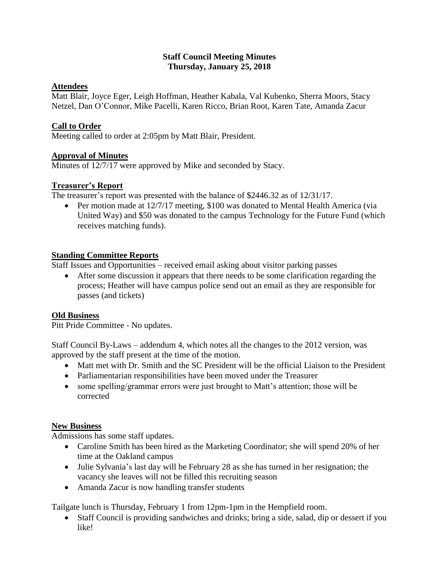### **Staff Council Meeting Minutes Thursday, January 25, 2018**

# **Attendees**

Matt Blair, Joyce Eger, Leigh Hoffman, Heather Kabala, Val Kubenko, Sherra Moors, Stacy Netzel, Dan O'Connor, Mike Pacelli, Karen Ricco, Brian Root, Karen Tate, Amanda Zacur

# **Call to Order**

Meeting called to order at 2:05pm by Matt Blair, President.

# **Approval of Minutes**

Minutes of 12/7/17 were approved by Mike and seconded by Stacy.

# **Treasurer's Report**

The treasurer's report was presented with the balance of \$2446.32 as of 12/31/17.

• Per motion made at 12/7/17 meeting, \$100 was donated to Mental Health America (via United Way) and \$50 was donated to the campus Technology for the Future Fund (which receives matching funds).

### **Standing Committee Reports**

Staff Issues and Opportunities – received email asking about visitor parking passes

 After some discussion it appears that there needs to be some clarification regarding the process; Heather will have campus police send out an email as they are responsible for passes (and tickets)

#### **Old Business**

Pitt Pride Committee - No updates.

Staff Council By-Laws – addendum 4, which notes all the changes to the 2012 version, was approved by the staff present at the time of the motion.

- Matt met with Dr. Smith and the SC President will be the official Liaison to the President
- Parliamentarian responsibilities have been moved under the Treasurer
- some spelling/grammar errors were just brought to Matt's attention; those will be corrected

#### **New Business**

Admissions has some staff updates.

- Caroline Smith has been hired as the Marketing Coordinator; she will spend 20% of her time at the Oakland campus
- Julie Sylvania's last day will be February 28 as she has turned in her resignation; the vacancy she leaves will not be filled this recruiting season
- Amanda Zacur is now handling transfer students

Tailgate lunch is Thursday, February 1 from 12pm-1pm in the Hempfield room.

 Staff Council is providing sandwiches and drinks; bring a side, salad, dip or dessert if you like!